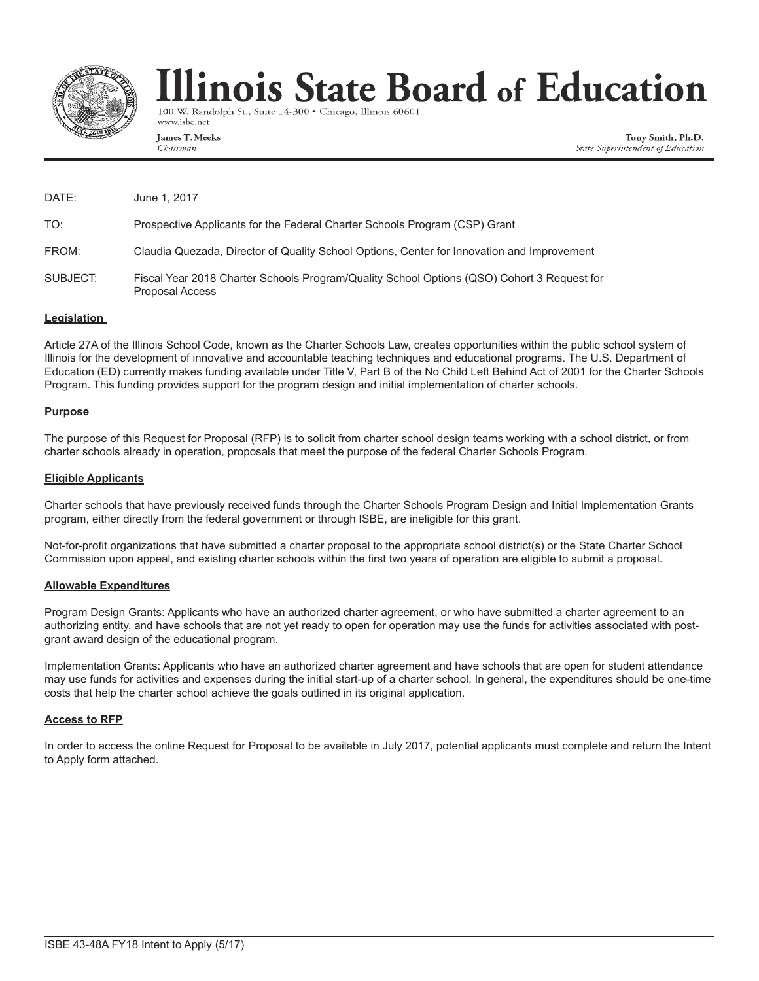

# llinois State Board of Education

100 W. Randolph St., Suite 14-300 · Chicago, Illinois 60601 www.isbe.net

James T. Meeks Chairman

Tony Smith, Ph.D. State Superintendent of Education

| DATE:    | June 1, 2017                                                                                                         |
|----------|----------------------------------------------------------------------------------------------------------------------|
| TO:      | Prospective Applicants for the Federal Charter Schools Program (CSP) Grant                                           |
| FROM:    | Claudia Quezada, Director of Quality School Options, Center for Innovation and Improvement                           |
| SUBJECT: | Fiscal Year 2018 Charter Schools Program/Quality School Options (QSO) Cohort 3 Request for<br><b>Proposal Access</b> |

#### **Legislation**

Article 27A of the Illinois School Code, known as the Charter Schools Law, creates opportunities within the public school system of Illinois for the development of innovative and accountable teaching techniques and educational programs. The U.S. Department of Education (ED) currently makes funding available under Title V, Part B of the No Child Left Behind Act of 2001 for the Charter Schools Program. This funding provides support for the program design and initial implementation of charter schools.

#### **Purpose**

The purpose of this Request for Proposal (RFP) is to solicit from charter school design teams working with a school district, or from charter schools already in operation, proposals that meet the purpose of the federal Charter Schools Program.

#### **Eligible Applicants**

Charter schools that have previously received funds through the Charter Schools Program Design and Initial Implementation Grants program, either directly from the federal government or through ISBE, are ineligible for this grant.

Not-for-profit organizations that have submitted a charter proposal to the appropriate school district(s) or the State Charter School Commission upon appeal, and existing charter schools within the first two years of operation are eligible to submit a proposal.

#### **Allowable Expenditures**

Program Design Grants: Applicants who have an authorized charter agreement, or who have submitted a charter agreement to an authorizing entity, and have schools that are not yet ready to open for operation may use the funds for activities associated with postgrant award design of the educational program.

Implementation Grants: Applicants who have an authorized charter agreement and have schools that are open for student attendance may use funds for activities and expenses during the initial start-up of a charter school. In general, the expenditures should be one-time costs that help the charter school achieve the goals outlined in its original application.

#### **Access to RFP**

In order to access the online Request for Proposal to be available in July 2017, potential applicants must complete and return the Intent to Apply form attached.